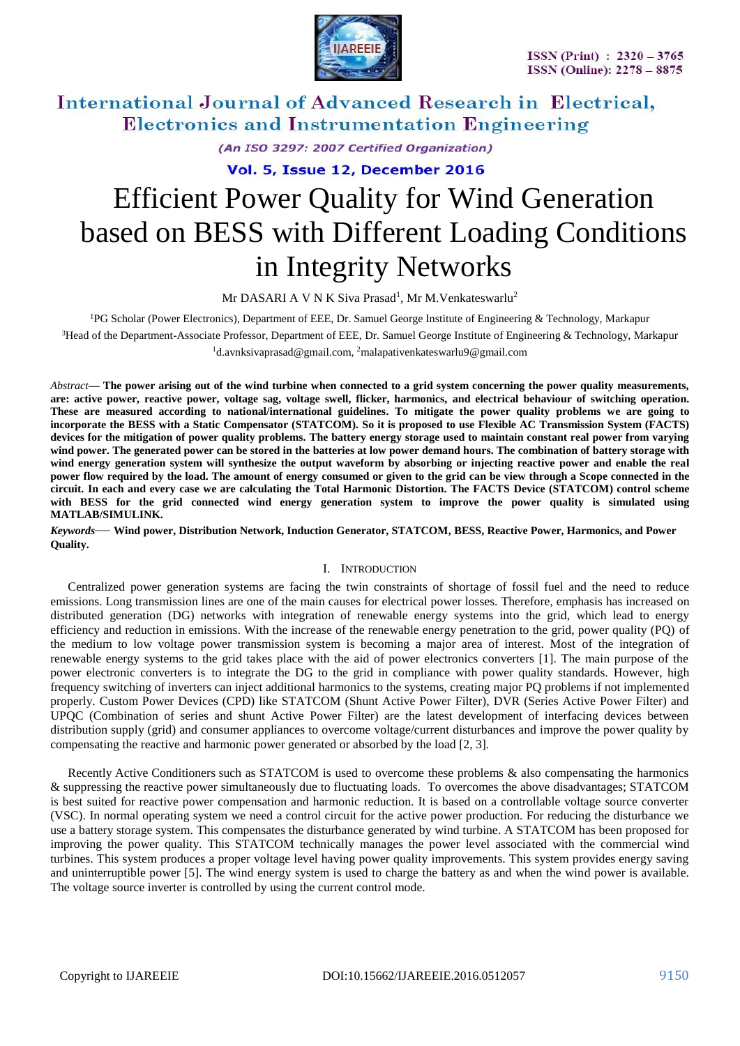

(An ISO 3297: 2007 Certified Organization)

Vol. 5, Issue 12, December 2016

# Efficient Power Quality for Wind Generation based on BESS with Different Loading Conditions in Integrity Networks

Mr DASARI A V N K Siva Prasad<sup>1</sup>, Mr M.Venkateswarlu<sup>2</sup>

<sup>1</sup>PG Scholar (Power Electronics), Department of EEE, Dr. Samuel George Institute of Engineering & Technology, Markapur <sup>3</sup>Head of the Department-Associate Professor, Department of EEE, Dr. Samuel George Institute of Engineering & Technology, Markapur

<sup>1</sup>d.avnksivaprasad@gmail.com, <sup>2</sup>malapativenkateswarlu9@gmail.com

*Abstract***— The power arising out of the wind turbine when connected to a grid system concerning the power quality measurements, are: active power, reactive power, voltage sag, voltage swell, flicker, harmonics, and electrical behaviour of switching operation. These are measured according to national/international guidelines. To mitigate the power quality problems we are going to incorporate the BESS with a Static Compensator (STATCOM). So it is proposed to use Flexible AC Transmission System (FACTS) devices for the mitigation of power quality problems. The battery energy storage used to maintain constant real power from varying wind power. The generated power can be stored in the batteries at low power demand hours. The combination of battery storage with wind energy generation system will synthesize the output waveform by absorbing or injecting reactive power and enable the real power flow required by the load. The amount of energy consumed or given to the grid can be view through a Scope connected in the circuit. In each and every case we are calculating the Total Harmonic Distortion. The FACTS Device (STATCOM) control scheme with BESS for the grid connected wind energy generation system to improve the power quality is simulated using MATLAB/SIMULINK.**

*Keywords*— **Wind power, Distribution Network, Induction Generator, STATCOM, BESS, Reactive Power, Harmonics, and Power Quality.**

### I. INTRODUCTION

Centralized power generation systems are facing the twin constraints of shortage of fossil fuel and the need to reduce emissions. Long transmission lines are one of the main causes for electrical power losses. Therefore, emphasis has increased on distributed generation (DG) networks with integration of renewable energy systems into the grid, which lead to energy efficiency and reduction in emissions. With the increase of the renewable energy penetration to the grid, power quality (PQ) of the medium to low voltage power transmission system is becoming a major area of interest. Most of the integration of renewable energy systems to the grid takes place with the aid of power electronics converters [1]. The main purpose of the power electronic converters is to integrate the DG to the grid in compliance with power quality standards. However, high frequency switching of inverters can inject additional harmonics to the systems, creating major PQ problems if not implemented properly. Custom Power Devices (CPD) like STATCOM (Shunt Active Power Filter), DVR (Series Active Power Filter) and UPQC (Combination of series and shunt Active Power Filter) are the latest development of interfacing devices between distribution supply (grid) and consumer appliances to overcome voltage/current disturbances and improve the power quality by compensating the reactive and harmonic power generated or absorbed by the load [2, 3].

Recently Active Conditioners such as STATCOM is used to overcome these problems & also compensating the harmonics & suppressing the reactive power simultaneously due to fluctuating loads. To overcomes the above disadvantages; STATCOM is best suited for reactive power compensation and harmonic reduction. It is based on a controllable voltage source converter (VSC). In normal operating system we need a control circuit for the active power production. For reducing the disturbance we use a battery storage system. This compensates the disturbance generated by wind turbine. A STATCOM has been proposed for improving the power quality. This STATCOM technically manages the power level associated with the commercial wind turbines. This system produces a proper voltage level having power quality improvements. This system provides energy saving and uninterruptible power [5]. The wind energy system is used to charge the battery as and when the wind power is available. The voltage source inverter is controlled by using the current control mode.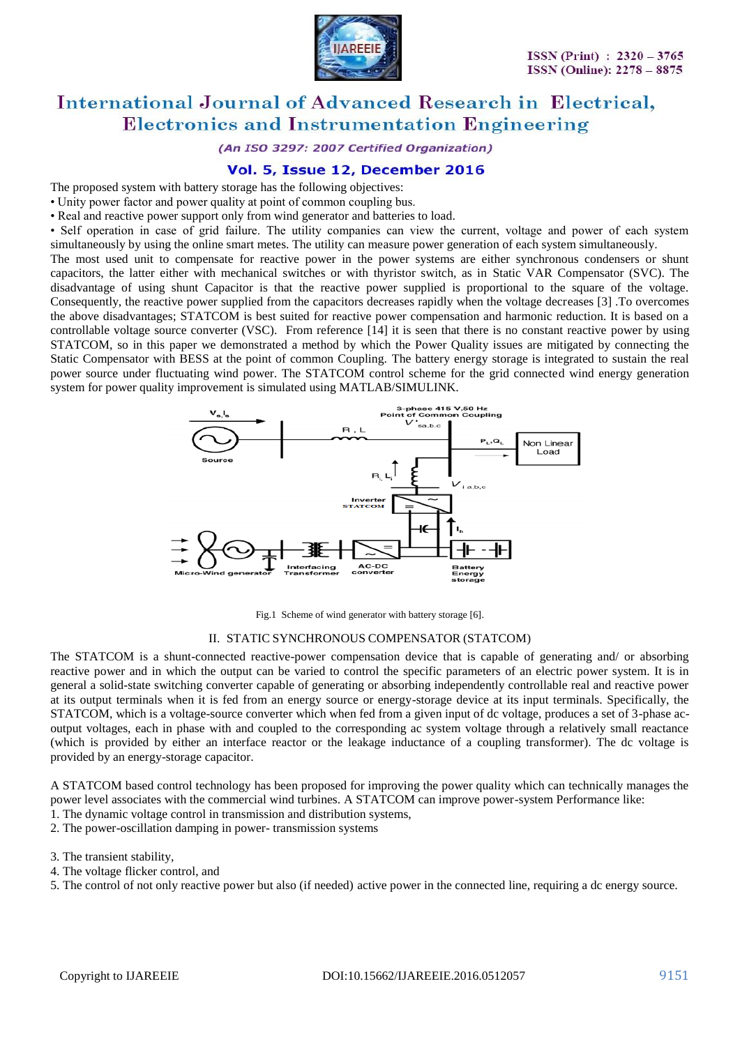

(An ISO 3297: 2007 Certified Organization)

### Vol. 5, Issue 12, December 2016

The proposed system with battery storage has the following objectives:

- Unity power factor and power quality at point of common coupling bus.
- Real and reactive power support only from wind generator and batteries to load.

• Self operation in case of grid failure. The utility companies can view the current, voltage and power of each system simultaneously by using the online smart metes. The utility can measure power generation of each system simultaneously.

The most used unit to compensate for reactive power in the power systems are either synchronous condensers or shunt capacitors, the latter either with mechanical switches or with thyristor switch, as in Static VAR Compensator (SVC). The disadvantage of using shunt Capacitor is that the reactive power supplied is proportional to the square of the voltage. Consequently, the reactive power supplied from the capacitors decreases rapidly when the voltage decreases [3] .To overcomes the above disadvantages; STATCOM is best suited for reactive power compensation and harmonic reduction. It is based on a controllable voltage source converter (VSC). From reference [14] it is seen that there is no constant reactive power by using STATCOM, so in this paper we demonstrated a method by which the Power Quality issues are mitigated by connecting the Static Compensator with BESS at the point of common Coupling. The battery energy storage is integrated to sustain the real power source under fluctuating wind power. The STATCOM control scheme for the grid connected wind energy generation system for power quality improvement is simulated using MATLAB/SIMULINK.



Fig.1 Scheme of wind generator with battery storage [6].

#### II. STATIC SYNCHRONOUS COMPENSATOR (STATCOM)

The STATCOM is a shunt-connected reactive-power compensation device that is capable of generating and/ or absorbing reactive power and in which the output can be varied to control the specific parameters of an electric power system. It is in general a solid-state switching converter capable of generating or absorbing independently controllable real and reactive power at its output terminals when it is fed from an energy source or energy-storage device at its input terminals. Specifically, the STATCOM, which is a voltage-source converter which when fed from a given input of dc voltage, produces a set of 3-phase acoutput voltages, each in phase with and coupled to the corresponding ac system voltage through a relatively small reactance (which is provided by either an interface reactor or the leakage inductance of a coupling transformer). The dc voltage is provided by an energy-storage capacitor.

A STATCOM based control technology has been proposed for improving the power quality which can technically manages the power level associates with the commercial wind turbines. A STATCOM can improve power-system Performance like:

- 1. The dynamic voltage control in transmission and distribution systems,
- 2. The power-oscillation damping in power- transmission systems
- 3. The transient stability,
- 4. The voltage flicker control, and
- 5. The control of not only reactive power but also (if needed) active power in the connected line, requiring a dc energy source.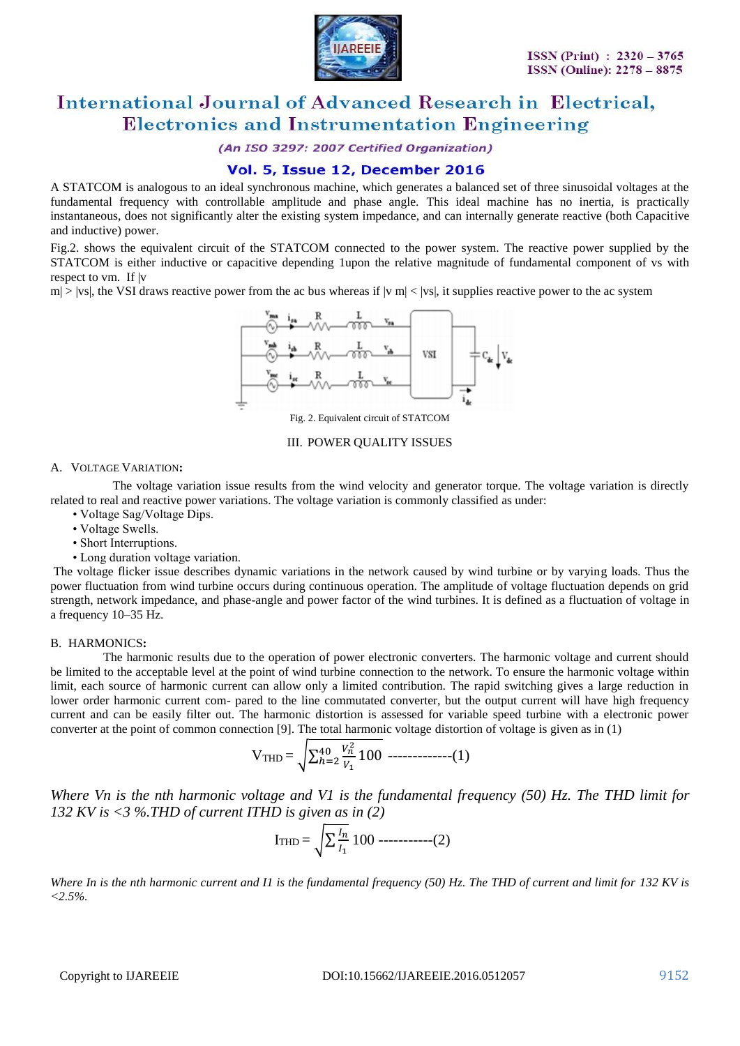

(An ISO 3297: 2007 Certified Organization)

### Vol. 5, Issue 12, December 2016

A STATCOM is analogous to an ideal synchronous machine, which generates a balanced set of three sinusoidal voltages at the fundamental frequency with controllable amplitude and phase angle. This ideal machine has no inertia, is practically instantaneous, does not significantly alter the existing system impedance, and can internally generate reactive (both Capacitive and inductive) power.

Fig.2. shows the equivalent circuit of the STATCOM connected to the power system. The reactive power supplied by the STATCOM is either inductive or capacitive depending 1upon the relative magnitude of fundamental component of vs with respect to vm. If  $|v|$ 

 $m$   $>$  |vs|, the VSI draws reactive power from the ac bus whereas if  $|v m|$   $<$  |vs|, it supplies reactive power to the ac system



Fig. 2. Equivalent circuit of STATCOM

#### III. POWER QUALITY ISSUES

#### A. VOLTAGE VARIATION**:**

 The voltage variation issue results from the wind velocity and generator torque. The voltage variation is directly related to real and reactive power variations. The voltage variation is commonly classified as under:

- Voltage Sag/Voltage Dips.
- Voltage Swells.
- Short Interruptions.
- Long duration voltage variation.

The voltage flicker issue describes dynamic variations in the network caused by wind turbine or by varying loads. Thus the power fluctuation from wind turbine occurs during continuous operation. The amplitude of voltage fluctuation depends on grid strength, network impedance, and phase-angle and power factor of the wind turbines. It is defined as a fluctuation of voltage in a frequency 10–35 Hz.

#### B. HARMONICS**:**

 The harmonic results due to the operation of power electronic converters. The harmonic voltage and current should be limited to the acceptable level at the point of wind turbine connection to the network. To ensure the harmonic voltage within limit, each source of harmonic current can allow only a limited contribution. The rapid switching gives a large reduction in lower order harmonic current com- pared to the line commutated converter, but the output current will have high frequency current and can be easily filter out. The harmonic distortion is assessed for variable speed turbine with a electronic power converter at the point of common connection [9]. The total harmonic voltage distortion of voltage is given as in (1)

 VTHD = √∑ 2 1 100 <sup>40</sup> ℎ=2 -------------(1)

*Where Vn is the nth harmonic voltage and V1 is the fundamental frequency (50) Hz. The THD limit for 132 KV is <3 %.THD of current ITHD is given as in (2)* 

 ITHD = √∑ 1 100 -----------(2)

*Where In is the nth harmonic current and I1 is the fundamental frequency (50) Hz. The THD of current and limit for 132 KV is <2.5%.*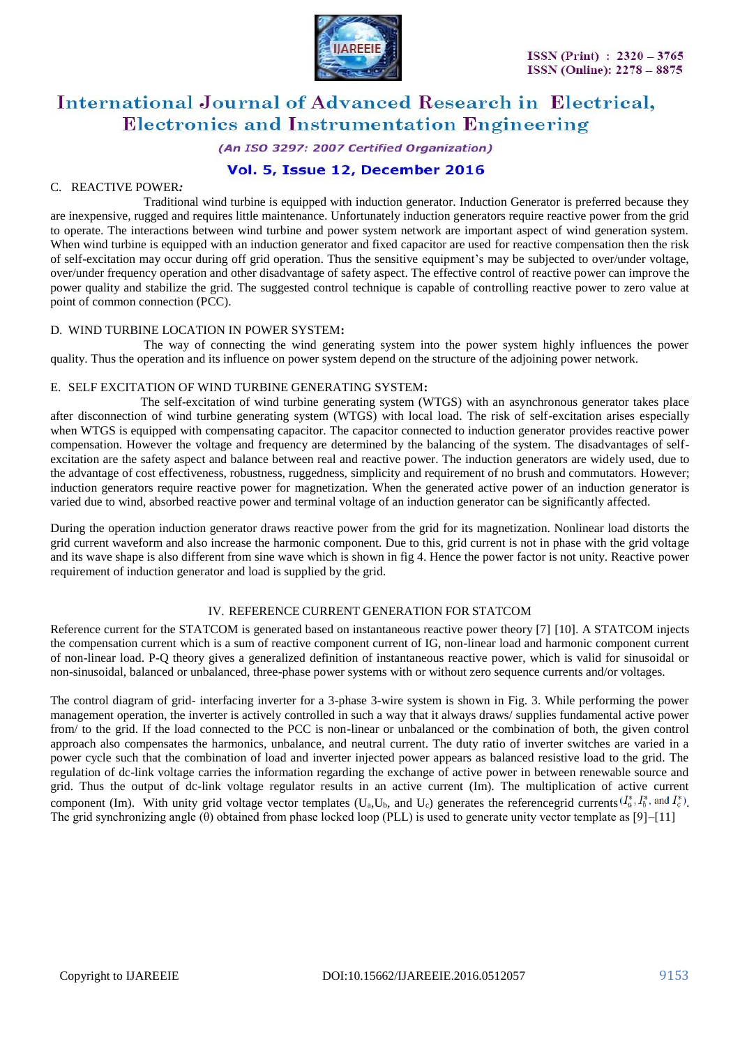

(An ISO 3297: 2007 Certified Organization)

### Vol. 5, Issue 12, December 2016

#### C. REACTIVE POWER*:*

 Traditional wind turbine is equipped with induction generator. Induction Generator is preferred because they are inexpensive, rugged and requires little maintenance. Unfortunately induction generators require reactive power from the grid to operate. The interactions between wind turbine and power system network are important aspect of wind generation system. When wind turbine is equipped with an induction generator and fixed capacitor are used for reactive compensation then the risk of self-excitation may occur during off grid operation. Thus the sensitive equipment's may be subjected to over/under voltage, over/under frequency operation and other disadvantage of safety aspect. The effective control of reactive power can improve the power quality and stabilize the grid. The suggested control technique is capable of controlling reactive power to zero value at point of common connection (PCC).

#### D. WIND TURBINE LOCATION IN POWER SYSTEM**:**

 The way of connecting the wind generating system into the power system highly influences the power quality. Thus the operation and its influence on power system depend on the structure of the adjoining power network.

### E. SELF EXCITATION OF WIND TURBINE GENERATING SYSTEM**:**

 The self-excitation of wind turbine generating system (WTGS) with an asynchronous generator takes place after disconnection of wind turbine generating system (WTGS) with local load. The risk of self-excitation arises especially when WTGS is equipped with compensating capacitor. The capacitor connected to induction generator provides reactive power compensation. However the voltage and frequency are determined by the balancing of the system. The disadvantages of selfexcitation are the safety aspect and balance between real and reactive power. The induction generators are widely used, due to the advantage of cost effectiveness, robustness, ruggedness, simplicity and requirement of no brush and commutators. However; induction generators require reactive power for magnetization. When the generated active power of an induction generator is varied due to wind, absorbed reactive power and terminal voltage of an induction generator can be significantly affected.

During the operation induction generator draws reactive power from the grid for its magnetization. Nonlinear load distorts the grid current waveform and also increase the harmonic component. Due to this, grid current is not in phase with the grid voltage and its wave shape is also different from sine wave which is shown in fig 4. Hence the power factor is not unity. Reactive power requirement of induction generator and load is supplied by the grid.

#### IV. REFERENCE CURRENT GENERATION FOR STATCOM

Reference current for the STATCOM is generated based on instantaneous reactive power theory [7] [10]. A STATCOM injects the compensation current which is a sum of reactive component current of IG, non-linear load and harmonic component current of non-linear load. P-Q theory gives a generalized definition of instantaneous reactive power, which is valid for sinusoidal or non-sinusoidal, balanced or unbalanced, three-phase power systems with or without zero sequence currents and/or voltages.

The control diagram of grid- interfacing inverter for a 3-phase 3-wire system is shown in Fig. 3. While performing the power management operation, the inverter is actively controlled in such a way that it always draws/ supplies fundamental active power from/ to the grid. If the load connected to the PCC is non-linear or unbalanced or the combination of both, the given control approach also compensates the harmonics, unbalance, and neutral current. The duty ratio of inverter switches are varied in a power cycle such that the combination of load and inverter injected power appears as balanced resistive load to the grid. The regulation of dc-link voltage carries the information regarding the exchange of active power in between renewable source and grid. Thus the output of dc-link voltage regulator results in an active current (Im). The multiplication of active current component (Im). With unity grid voltage vector templates (U<sub>a</sub>,U<sub>b</sub>, and U<sub>c</sub>) generates the referencegrid currents  $(I_a^*, I_b^*,$  and  $I_c^*)$ . The grid synchronizing angle (θ) obtained from phase locked loop (PLL) is used to generate unity vector template as [9]–[11]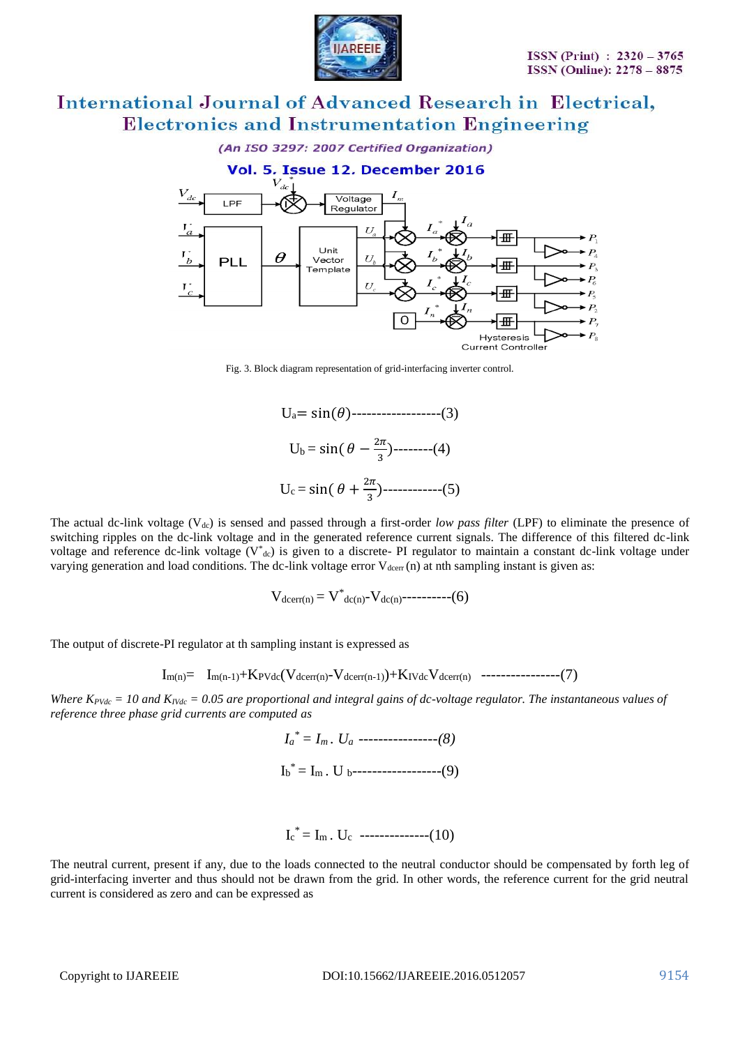

Fig. 3. Block diagram representation of grid-interfacing inverter control.

$$
U_a = \sin(\theta) \tag{3}
$$
\n
$$
U_b = \sin(\theta - \frac{2\pi}{3}) \tag{4}
$$
\n
$$
U_c = \sin(\theta + \frac{2\pi}{3}) \tag{5}
$$

The actual dc-link voltage (V<sub>dc</sub>) is sensed and passed through a first-order *low pass filter* (LPF) to eliminate the presence of switching ripples on the dc-link voltage and in the generated reference current signals. The difference of this filtered dc-link voltage and reference dc-link voltage (V<sup>\*</sup><sub>dc</sub>) is given to a discrete- PI regulator to maintain a constant dc-link voltage under varying generation and load conditions. The dc-link voltage error  $V_{\text{deerr}}(n)$  at nth sampling instant is given as:

$$
V_{deerr(n)} = V^*_{dc(n)} - V_{dc(n)} - \cdots - \cdots - \cdots - (6)
$$

The output of discrete-PI regulator at th sampling instant is expressed as

$$
I_{m(n)} = I_{m(n-1)} + K_{PVdc}(V_{deerr(n)} - V_{deerr(n-1)}) + K_{IVdc}V_{deerr(n)} \ \ \text{-----} \tag{7}
$$

*Where KPVdc = 10 and KIVdc = 0.05 are proportional and integral gains of dc-voltage regulator. The instantaneous values of reference three phase grid currents are computed as*



$$
I_c^* = I_m \cdot U_c \quad \text{-----} (10)
$$

The neutral current, present if any, due to the loads connected to the neutral conductor should be compensated by forth leg of grid-interfacing inverter and thus should not be drawn from the grid. In other words, the reference current for the grid neutral current is considered as zero and can be expressed as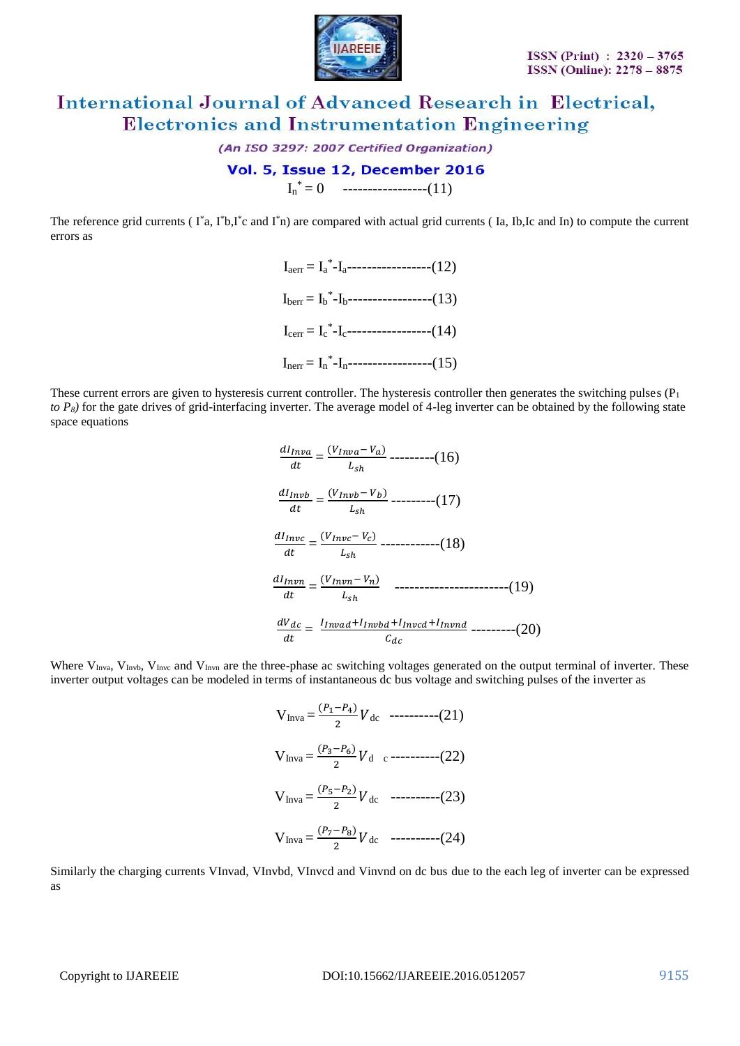

(An ISO 3297: 2007 Certified Organization)

Vol. 5, Issue 12, December 2016

 $I_n^* = 0$  ------------------(11)

The reference grid currents ( $I^*a$ ,  $I^*b$ , $I^*c$  and  $I^*n$ ) are compared with actual grid currents (Ia, Ib,Ic and In) to compute the current errors as

> $I_{\text{aerr}} = I_{\text{a}}^*$ - $I_{\text{a}}$ ------------------(12)  $I_{\text{berr}} = I_{\text{b}}^*$ - $I_{\text{b}}$ ------------------(13)  $I_{\text{cert}} = I_{\text{c}}^* - I_{\text{c}} - \dots - \dots - \dots - (14)$  $I_{\text{nerr}} = I_{\text{n}}^* - I_{\text{n}} - \dots - \dots - \dots - (15)$

These current errors are given to hysteresis current controller. The hysteresis controller then generates the switching pulses  $(P_1)$ *to*  $P_8$  for the gate drives of grid-interfacing inverter. The average model of 4-leg inverter can be obtained by the following state space equations

$$
\frac{dI_{Inva}}{dt} = \frac{(V_{Inva} - V_a)}{L_{sh}} \quad \text{---} \quad (16)
$$
\n
$$
\frac{dI_{Invb}}{dt} = \frac{(V_{Invb} - V_b)}{L_{sh}} \quad \text{---} \quad (17)
$$
\n
$$
\frac{dI_{Invc}}{dt} = \frac{(V_{Invc} - V_c)}{L_{sh}} \quad \text{---} \quad (18)
$$
\n
$$
\frac{dI_{Invn}}{dt} = \frac{(V_{Invn} - V_n)}{L_{sh}} \quad \text{---} \quad (19)
$$
\n
$$
\frac{dV_{dc}}{dt} = \frac{I_{Invad} + I_{Invbd} + I_{Invcd} + I_{Invnd}}{C_{dc}} \quad \text{---} \quad (20)
$$

Where  $V_{\text{Inva}}$ ,  $V_{\text{Invb}}$ ,  $V_{\text{Invc}}$  and  $V_{\text{Invn}}$  are the three-phase ac switching voltages generated on the output terminal of inverter. These inverter output voltages can be modeled in terms of instantaneous dc bus voltage and switching pulses of the inverter as

$$
V_{\text{Inva}} = \frac{(P_1 - P_4)}{2} V_{\text{dc}}
$$
 -------(21)  
\n
$$
V_{\text{Inva}} = \frac{(P_3 - P_6)}{2} V_{\text{dc}}
$$
 -------(22)  
\n
$$
V_{\text{Inva}} = \frac{(P_5 - P_2)}{2} V_{\text{dc}}
$$
 -------(23)  
\n
$$
V_{\text{Inva}} = \frac{(P_7 - P_8)}{2} V_{\text{dc}}
$$
 -------(24)

Similarly the charging currents VInvad, VInvbd, VInvcd and Vinvnd on dc bus due to the each leg of inverter can be expressed as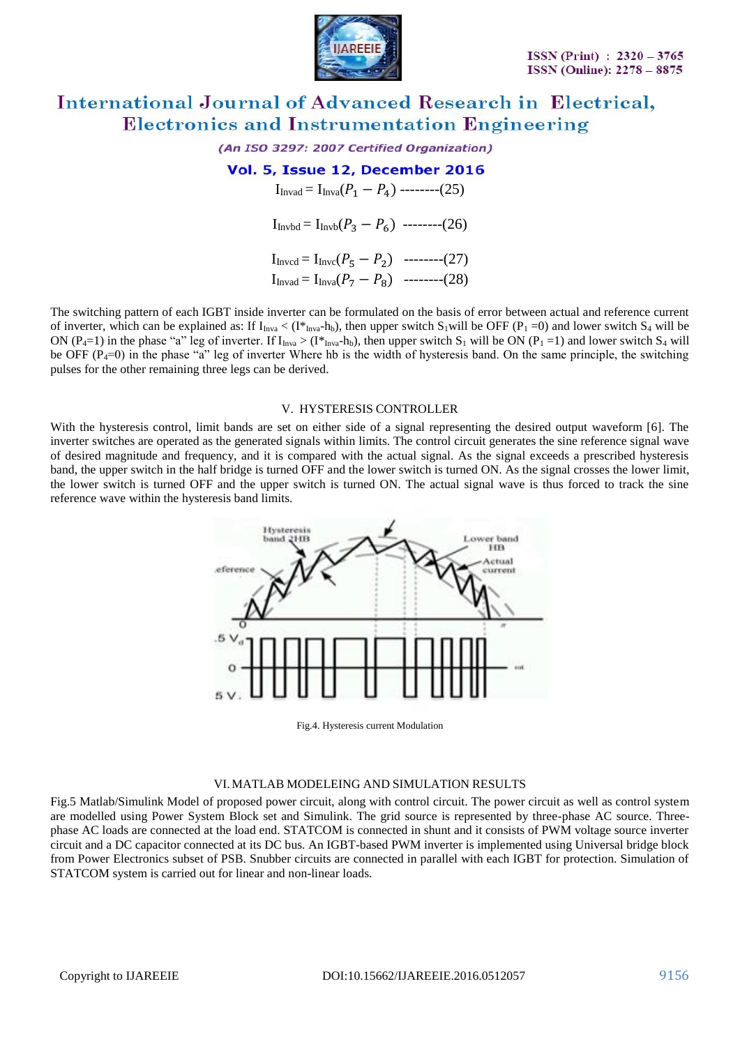

(An ISO 3297: 2007 Certified Organization)

### Vol. 5, Issue 12, December 2016

 $I_{\text{Invad}} = I_{\text{Invad}}(P_1 - P_4)$  --------(25)  $I_{\text{Invbd}} = I_{\text{Invb}}(P_3 - P_6)$  -------(26)  $I_{\text{Invcd}} = I_{\text{Invcd}}(P_5 - P_2)$  --------(27)  $I_{\text{Invad}} = I_{\text{Invad}}(P_7 - P_8)$  -------(28)

The switching pattern of each IGBT inside inverter can be formulated on the basis of error between actual and reference current of inverter, which can be explained as: If  $I_{\text{Inva}} < (I^*_{\text{Inva}} - h_b)$ , then upper switch S<sub>1</sub>will be OFF (P<sub>1</sub> =0) and lower switch S<sub>4</sub> will be ON (P<sub>4</sub>=1) in the phase "a" leg of inverter. If I<sub>Inva</sub> > (I\*<sub>Inva</sub>-h<sub>b</sub>), then upper switch S<sub>1</sub> will be ON (P<sub>1</sub>=1) and lower switch S<sub>4</sub> will be OFF  $(P_4=0)$  in the phase "a" leg of inverter Where hb is the width of hysteresis band. On the same principle, the switching pulses for the other remaining three legs can be derived.

#### V. HYSTERESIS CONTROLLER

With the hysteresis control, limit bands are set on either side of a signal representing the desired output waveform [6]. The inverter switches are operated as the generated signals within limits. The control circuit generates the sine reference signal wave of desired magnitude and frequency, and it is compared with the actual signal. As the signal exceeds a prescribed hysteresis band, the upper switch in the half bridge is turned OFF and the lower switch is turned ON. As the signal crosses the lower limit, the lower switch is turned OFF and the upper switch is turned ON. The actual signal wave is thus forced to track the sine reference wave within the hysteresis band limits.



Fig.4. Hysteresis current Modulation

#### VI.MATLAB MODELEING AND SIMULATION RESULTS

Fig.5 Matlab/Simulink Model of proposed power circuit, along with control circuit. The power circuit as well as control system are modelled using Power System Block set and Simulink. The grid source is represented by three-phase AC source. Threephase AC loads are connected at the load end. STATCOM is connected in shunt and it consists of PWM voltage source inverter circuit and a DC capacitor connected at its DC bus. An IGBT-based PWM inverter is implemented using Universal bridge block from Power Electronics subset of PSB. Snubber circuits are connected in parallel with each IGBT for protection. Simulation of STATCOM system is carried out for linear and non-linear loads.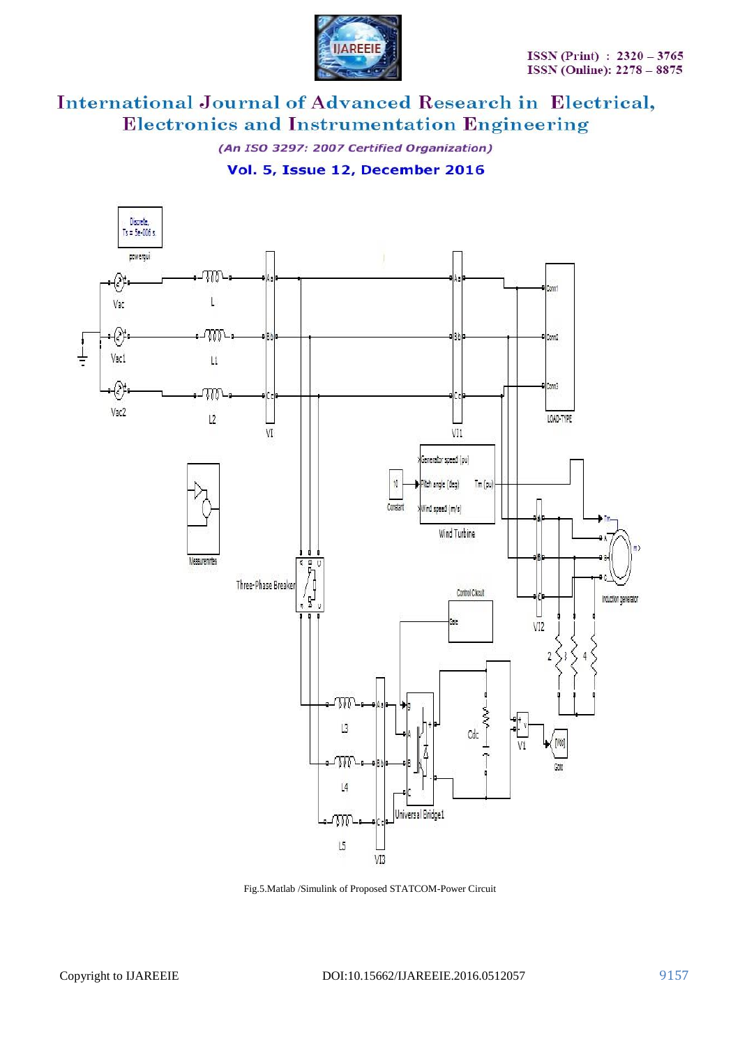

(An ISO 3297: 2007 Certified Organization)

Vol. 5, Issue 12, December 2016



Fig.5.Matlab /Simulink of Proposed STATCOM-Power Circuit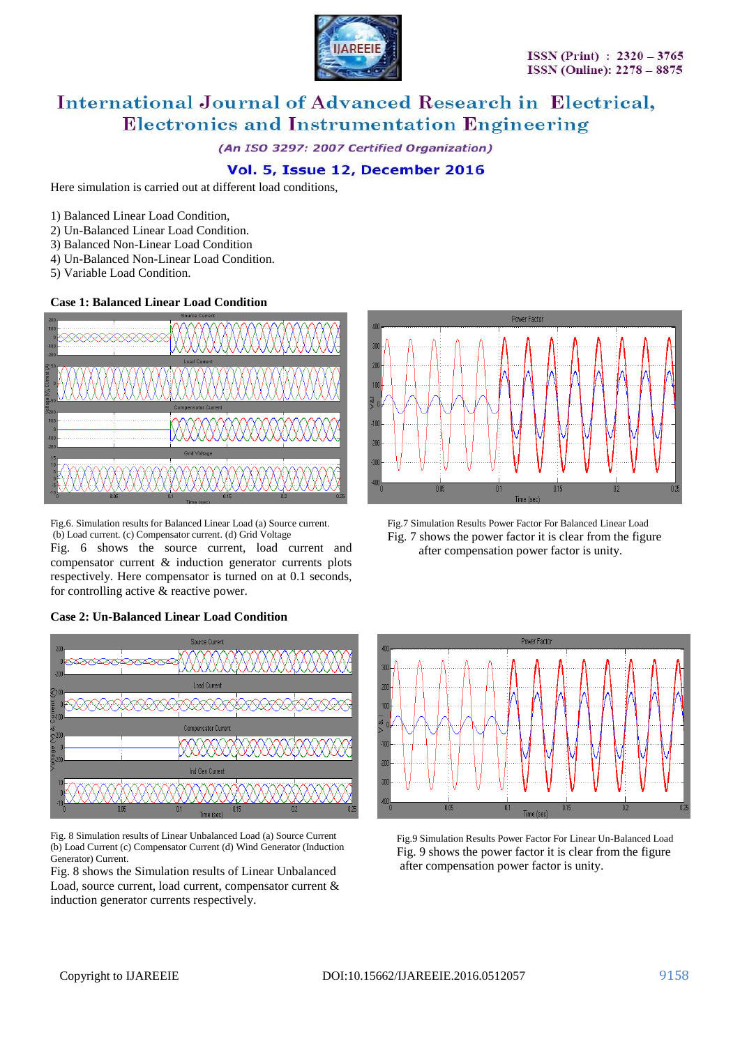![](_page_8_Picture_0.jpeg)

(An ISO 3297: 2007 Certified Organization)

### Vol. 5, Issue 12, December 2016

Here simulation is carried out at different load conditions,

- 1) Balanced Linear Load Condition,
- 2) Un-Balanced Linear Load Condition.
- 3) Balanced Non-Linear Load Condition
- 4) Un-Balanced Non-Linear Load Condition.
- 5) Variable Load Condition.

#### **Case 1: Balanced Linear Load Condition**

![](_page_8_Figure_12.jpeg)

Fig.6. Simulation results for Balanced Linear Load (a) Source current. (b) Load current. (c) Compensator current. (d) Grid Voltage Fig. 6 shows the source current, load current and compensator current & induction generator currents plots respectively. Here compensator is turned on at 0.1 seconds, for controlling active & reactive power.

![](_page_8_Figure_14.jpeg)

Power Factor

Fig.7 Simulation Results Power Factor For Balanced Linear Load Fig. 7 shows the power factor it is clear from the figure after compensation power factor is unity.

#### **Case 2: Un-Balanced Linear Load Condition**

![](_page_8_Figure_17.jpeg)

Fig. 8 Simulation results of Linear Unbalanced Load (a) Source Current (b) Load Current (c) Compensator Current (d) Wind Generator (Induction Generator) Current.

Fig. 8 shows the Simulation results of Linear Unbalanced Load, source current, load current, compensator current & induction generator currents respectively.

![](_page_8_Figure_20.jpeg)

 Fig.9 Simulation Results Power Factor For Linear Un-Balanced Load Fig. 9 shows the power factor it is clear from the figure after compensation power factor is unity.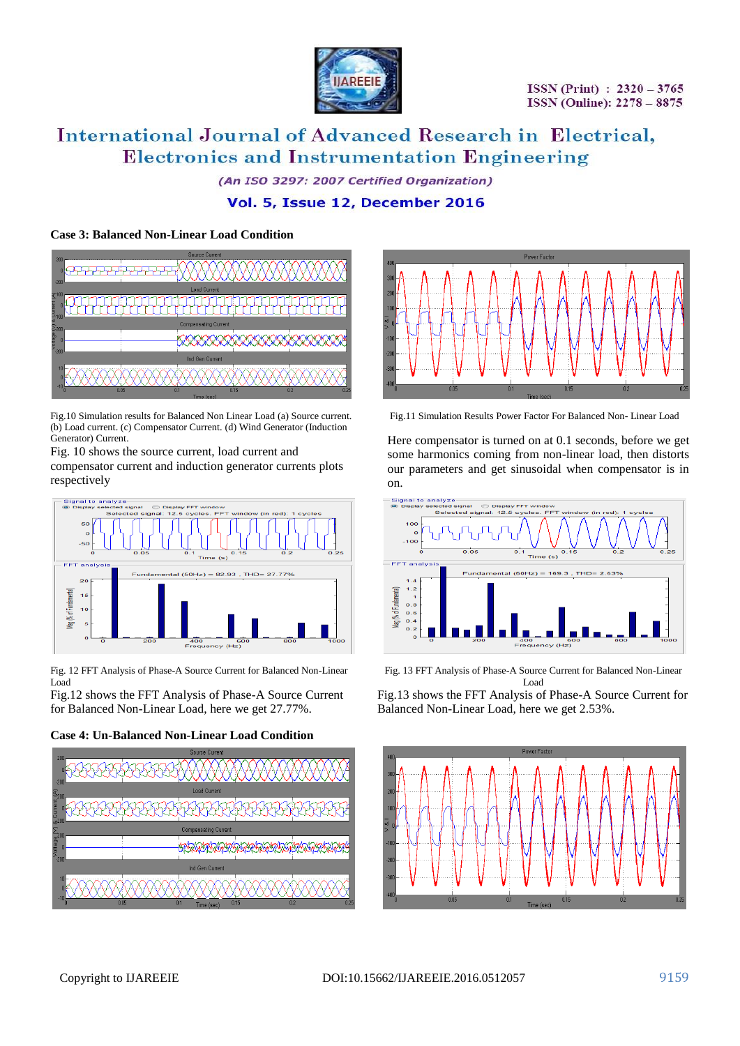![](_page_9_Picture_0.jpeg)

(An ISO 3297: 2007 Certified Organization) Vol. 5, Issue 12, December 2016

### **Case 3: Balanced Non-Linear Load Condition**

![](_page_9_Figure_5.jpeg)

Fig.10 Simulation results for Balanced Non Linear Load (a) Source current. (b) Load current. (c) Compensator Current. (d) Wind Generator (Induction Generator) Current.

Fig. 10 shows the source current, load current and compensator current and induction generator currents plots respectively

![](_page_9_Figure_8.jpeg)

Fig. 12 FFT Analysis of Phase-A Source Current for Balanced Non-Linear Load

Fig.12 shows the FFT Analysis of Phase-A Source Current for Balanced Non-Linear Load, here we get 27.77%.

#### **Case 4: Un-Balanced Non-Linear Load Condition**

![](_page_9_Figure_12.jpeg)

![](_page_9_Figure_13.jpeg)

Fig.11 Simulation Results Power Factor For Balanced Non- Linear Load

Here compensator is turned on at 0.1 seconds, before we get some harmonics coming from non-linear load, then distorts our parameters and get sinusoidal when compensator is in on.

![](_page_9_Figure_16.jpeg)

Fig. 13 FFT Analysis of Phase-A Source Current for Balanced Non-Linear Load

Fig.13 shows the FFT Analysis of Phase-A Source Current for Balanced Non-Linear Load, here we get 2.53%.

![](_page_9_Figure_19.jpeg)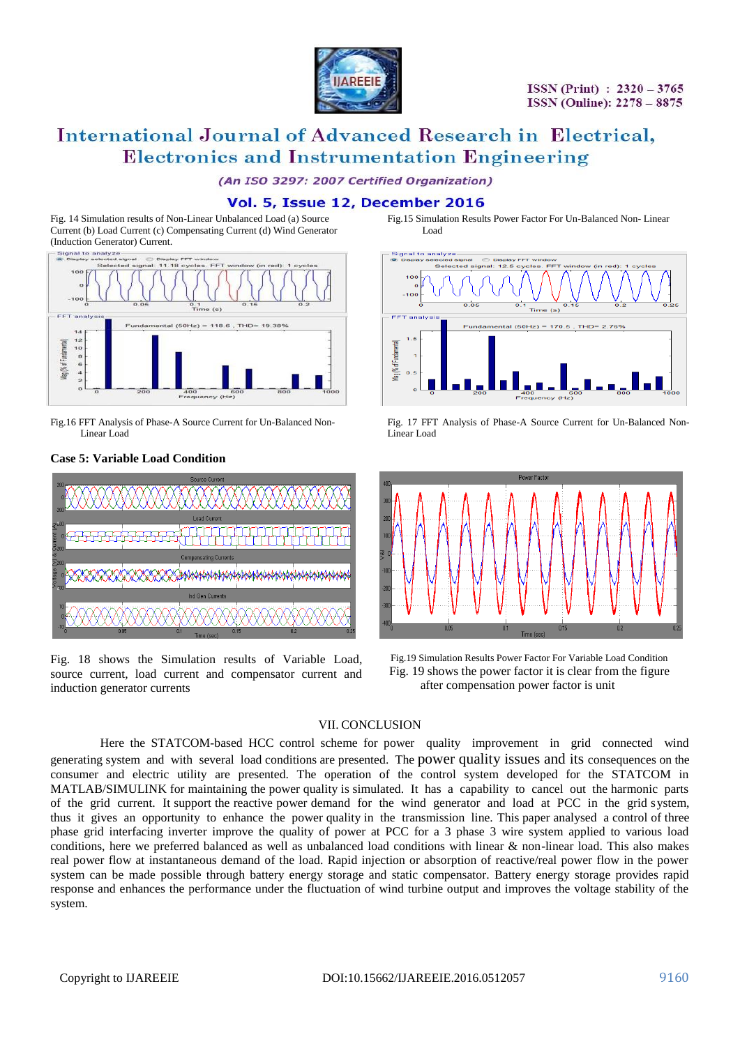![](_page_10_Picture_0.jpeg)

(An ISO 3297: 2007 Certified Organization)

### Vol. 5, Issue 12, December 2016

Fig. 14 Simulation results of Non-Linear Unbalanced Load (a) Source Current (b) Load Current (c) Compensating Current (d) Wind Generator (Induction Generator) Current.

![](_page_10_Figure_6.jpeg)

Fig.16 FFT Analysis of Phase-A Source Current for Un-Balanced Non- Linear Load

### **Case 5: Variable Load Condition**

![](_page_10_Figure_9.jpeg)

Fig. 18 shows the Simulation results of Variable Load, source current, load current and compensator current and induction generator currents

Fig.15 Simulation Results Power Factor For Un-Balanced Non- Linear Load

![](_page_10_Figure_12.jpeg)

Fig. 17 FFT Analysis of Phase-A Source Current for Un-Balanced Non-Linear Load

![](_page_10_Figure_14.jpeg)

 Fig.19 Simulation Results Power Factor For Variable Load Condition Fig. 19 shows the power factor it is clear from the figure after compensation power factor is unit

#### VII. CONCLUSION

 Here the STATCOM-based HCC control scheme for power quality improvement in grid connected wind generating system and with several load conditions are presented. The power quality issues and its consequences on the consumer and electric utility are presented. The operation of the control system developed for the STATCOM in MATLAB/SIMULINK for maintaining the power quality is simulated. It has a capability to cancel out the harmonic parts of the grid current. It support the reactive power demand for the wind generator and load at PCC in the grid system, thus it gives an opportunity to enhance the power quality in the transmission line. This paper analysed a control of three phase grid interfacing inverter improve the quality of power at PCC for a 3 phase 3 wire system applied to various load conditions, here we preferred balanced as well as unbalanced load conditions with linear & non-linear load. This also makes real power flow at instantaneous demand of the load. Rapid injection or absorption of reactive/real power flow in the power system can be made possible through battery energy storage and static compensator. Battery energy storage provides rapid response and enhances the performance under the fluctuation of wind turbine output and improves the voltage stability of the system.